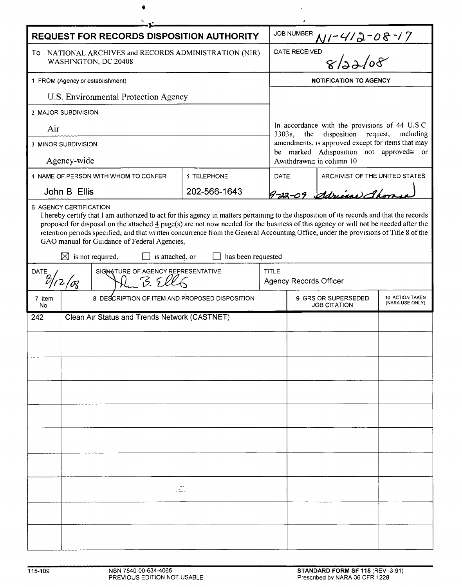| <b>REQUEST FOR RECORDS DISPOSITION AUTHORITY</b>                                                                                                                                                                                                                                                                                                                                                                                                                                                                                                  |                                                |  |              |              | JOB NUMBER                                                                                              |                                |  |  |
|---------------------------------------------------------------------------------------------------------------------------------------------------------------------------------------------------------------------------------------------------------------------------------------------------------------------------------------------------------------------------------------------------------------------------------------------------------------------------------------------------------------------------------------------------|------------------------------------------------|--|--------------|--------------|---------------------------------------------------------------------------------------------------------|--------------------------------|--|--|
| To NATIONAL ARCHIVES and RECORDS ADMINISTRATION (NIR)<br>WASHINGTON, DC 20408                                                                                                                                                                                                                                                                                                                                                                                                                                                                     |                                                |  |              |              | 01-412-08-17<br>ED<br>8/22/08<br>DATE RECEIVED                                                          |                                |  |  |
| 1 FROM (Agency or establishment)                                                                                                                                                                                                                                                                                                                                                                                                                                                                                                                  |                                                |  |              |              | <b>NOTIFICATION TO AGENCY</b>                                                                           |                                |  |  |
| U.S. Environmental Protection Agency                                                                                                                                                                                                                                                                                                                                                                                                                                                                                                              |                                                |  |              |              |                                                                                                         |                                |  |  |
| 2 MAJOR SUBDIVISION                                                                                                                                                                                                                                                                                                                                                                                                                                                                                                                               |                                                |  |              |              |                                                                                                         |                                |  |  |
| Air                                                                                                                                                                                                                                                                                                                                                                                                                                                                                                                                               |                                                |  |              |              | In accordance with the provisions of 44 U.S.C.<br>disposition<br>3303a,<br>the<br>request,<br>including |                                |  |  |
| 3 MINOR SUBDIVISION                                                                                                                                                                                                                                                                                                                                                                                                                                                                                                                               |                                                |  |              |              | amendments, is approved except for items that may                                                       |                                |  |  |
| Agency-wide                                                                                                                                                                                                                                                                                                                                                                                                                                                                                                                                       |                                                |  |              |              | be marked Adisposition not approved≅ or<br>Awithdrawn≅ in column 10                                     |                                |  |  |
| 4 NAME OF PERSON WITH WHOM TO CONFER<br>5 TELEPHONE                                                                                                                                                                                                                                                                                                                                                                                                                                                                                               |                                                |  |              | <b>DATE</b>  |                                                                                                         | ARCHIVIST OF THE UNITED STATES |  |  |
|                                                                                                                                                                                                                                                                                                                                                                                                                                                                                                                                                   | John B Ellis                                   |  | 202-566-1643 |              |                                                                                                         | 9-22-09 derival Chora          |  |  |
| I hereby certify that I am authorized to act for this agency in matters pertaining to the disposition of its records and that the records<br>proposed for disposal on the attached 4 page(s) are not now needed for the business of this agency or will not be needed after the<br>retention periods specified, and that written concurrence from the General Accounting Office, under the provisions of Title 8 of the<br>GAO manual for Guidance of Federal Agencies,<br>is not required,<br>$\bowtie$<br>is attached, or<br>has been requested |                                                |  |              |              |                                                                                                         |                                |  |  |
| SIGNATURE OF AGENCY REPRESENTATIVE<br>DATE<br>3.51<br>$2/\alpha$                                                                                                                                                                                                                                                                                                                                                                                                                                                                                  |                                                |  |              | <b>TITLE</b> | <b>Agency Records Officer</b>                                                                           |                                |  |  |
| 7 Item<br>No                                                                                                                                                                                                                                                                                                                                                                                                                                                                                                                                      | 8 DESCRIPTION OF ITEM AND PROPOSED DISPOSITION |  |              |              | 10 ACTION TAKEN<br>9 GRS OR SUPERSEDED<br>(NARA USE ONLY)<br><b>JOB CITATION</b>                        |                                |  |  |
| 242                                                                                                                                                                                                                                                                                                                                                                                                                                                                                                                                               | Clean Air Status and Trends Network (CASTNET)  |  |              |              |                                                                                                         |                                |  |  |
|                                                                                                                                                                                                                                                                                                                                                                                                                                                                                                                                                   |                                                |  |              |              |                                                                                                         |                                |  |  |
|                                                                                                                                                                                                                                                                                                                                                                                                                                                                                                                                                   |                                                |  |              |              |                                                                                                         |                                |  |  |
|                                                                                                                                                                                                                                                                                                                                                                                                                                                                                                                                                   |                                                |  |              |              |                                                                                                         |                                |  |  |
|                                                                                                                                                                                                                                                                                                                                                                                                                                                                                                                                                   |                                                |  |              |              |                                                                                                         |                                |  |  |
|                                                                                                                                                                                                                                                                                                                                                                                                                                                                                                                                                   |                                                |  |              |              |                                                                                                         |                                |  |  |
|                                                                                                                                                                                                                                                                                                                                                                                                                                                                                                                                                   |                                                |  |              |              |                                                                                                         |                                |  |  |
|                                                                                                                                                                                                                                                                                                                                                                                                                                                                                                                                                   |                                                |  |              |              |                                                                                                         |                                |  |  |
|                                                                                                                                                                                                                                                                                                                                                                                                                                                                                                                                                   |                                                |  |              |              |                                                                                                         |                                |  |  |
|                                                                                                                                                                                                                                                                                                                                                                                                                                                                                                                                                   |                                                |  |              |              |                                                                                                         |                                |  |  |
| Ž.                                                                                                                                                                                                                                                                                                                                                                                                                                                                                                                                                |                                                |  |              |              |                                                                                                         |                                |  |  |
|                                                                                                                                                                                                                                                                                                                                                                                                                                                                                                                                                   |                                                |  |              |              |                                                                                                         |                                |  |  |
|                                                                                                                                                                                                                                                                                                                                                                                                                                                                                                                                                   |                                                |  |              |              |                                                                                                         |                                |  |  |
|                                                                                                                                                                                                                                                                                                                                                                                                                                                                                                                                                   |                                                |  |              |              |                                                                                                         |                                |  |  |

 $\mathcal{L}_{\mathcal{A}}$ 

 $\pmb{\phi}$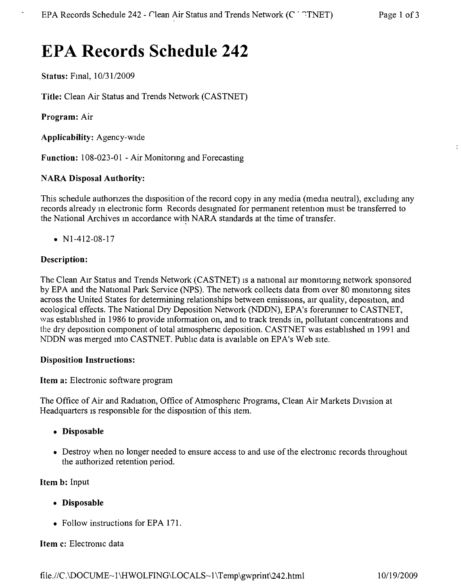# **EPA Records Schedule 242**

Status: Fmal, *10/3112009*

**Title:** Clean Air Status and Trends Network (CASTNET)

**Program:** Air

**Applicability:** Agency-wide

Function: 108-023-01 - Air Monitoring and Forecasting

# NARA **Disposal Authority:**

This schedule authonzes the disposition of the record copy in any media (media neutral), excluding any records already m electronic form Records designated for permanent retention must be transferred to the National Archives m accordance with NARA standards at the time of transfer.

•  $N1-412-08-17$ 

# **Description:**

The Clean Air Status and Trends Network (CASTNET) is a national air monitoring network sponsored by EPA and the National Park Service (NPS). The network collects data from over 80 momtonng sites across the United States for determining relationships between emissions, air quality, deposition, and ecological effects. The National Dry Deposition Network (NDDN), EPA's forerunner to CASTNET, was estabhshed in 1986 to provide information on, and to track trends in, pollutant concentrations and the dry deposition component of total atmosphenc deposition. CASTNET was estabhshed in 1991 and NDDN was merged into CASTNET. Public data is available on EPA's Web site,

#### **Disposition Instructions:**

**Item** a: Electronic software program

The Office of Air and Radiation, Office of Atmosphenc Programs, Clean Air Markets Division at Headquarters is responsible for the disposition of this item.

- **• Disposable**
- Destroy when no longer needed to ensure access to and use of the electronic records throughout the authorized retention period.

**Item b:** Input

- **• Disposable**
- Follow instructions for EPA 171.

#### **Item** c: Electromc data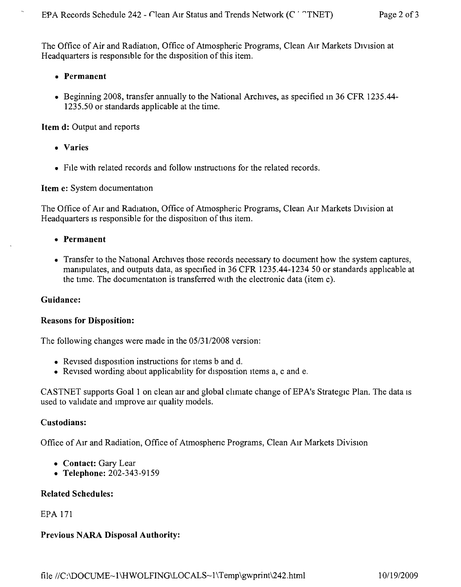The Office of Air and Radiation, Office of Atmospheric Programs, Clean AIr Markets DIVIsion at Headquarters is responsible for the disposition of this item.

#### **• Permanent**

• Beginning 2008, transfer annually to the National Archives, as specified in 36 CFR 1235.44-1235.50 or standards applicable at the time.

**Item d:** Output and reports

- **• Varies**
- File with related records and follow instructions for the related records.

# **Item** e: System documentation

The Office of Air and Radiation, Office of Atmospheric Programs, Clean Air Markets Division at Headquarters is responsible for the disposition of this item.

- **• Permanent**
- Transfer to the National Archives those records necessary to document how the system captures, manipulates, and outputs data, as specified in 36 CFR 1235.44-1234 50 or standards applicable at the time. The documentation is transferred With the electronic data (item c).

#### **Guidance:**

#### **Reasons for Disposition:**

The following changes were made in the *05/3112008* version:

- Revised disposition instructions for items b and d.
- Revised wording about applicability for disposition items a, c and e.

CASTNET supports Goal 1 on clean air and global climate change of EPA's Strategic Plan. The data IS used to validate and Improve air quality models.

#### **Custodians:**

Office of AIr and Radiation, Office of Atmosphenc Programs, Clean AIr Markets Division

- **• Contact:** Gary Lear
- **• Telephone:** 202-343-9159

#### **Related Schedules:**

#### EPA 171

# **Previous NARA Disposal Authority:**